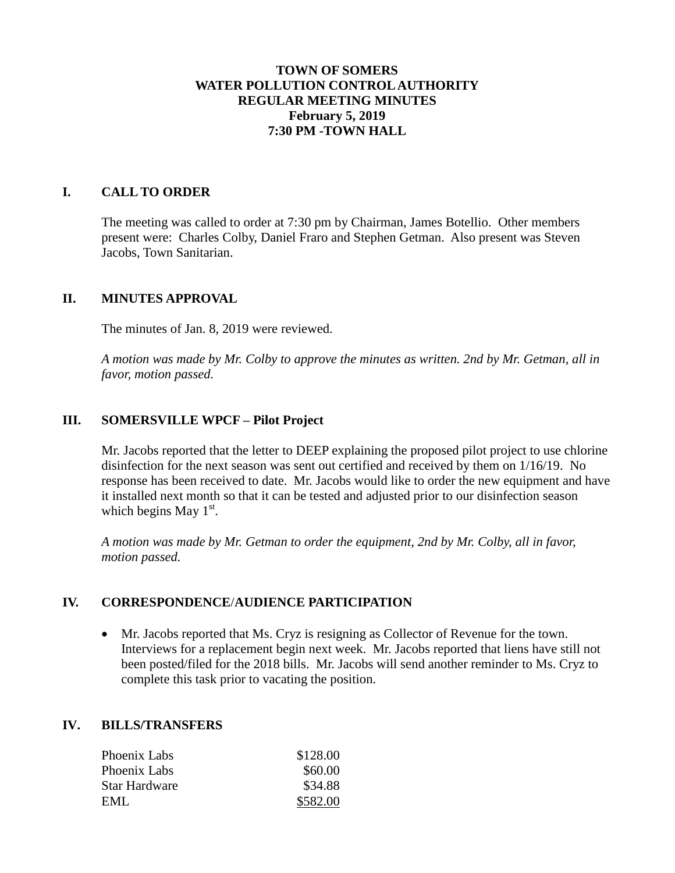# **TOWN OF SOMERS WATER POLLUTION CONTROL AUTHORITY REGULAR MEETING MINUTES February 5, 2019 7:30 PM -TOWN HALL**

## **I. CALL TO ORDER**

The meeting was called to order at 7:30 pm by Chairman, James Botellio. Other members present were: Charles Colby, Daniel Fraro and Stephen Getman. Also present was Steven Jacobs, Town Sanitarian.

### **II. MINUTES APPROVAL**

The minutes of Jan. 8, 2019 were reviewed.

*A motion was made by Mr. Colby to approve the minutes as written. 2nd by Mr. Getman, all in favor, motion passed.*

### **III. SOMERSVILLE WPCF – Pilot Project**

Mr. Jacobs reported that the letter to DEEP explaining the proposed pilot project to use chlorine disinfection for the next season was sent out certified and received by them on 1/16/19. No response has been received to date. Mr. Jacobs would like to order the new equipment and have it installed next month so that it can be tested and adjusted prior to our disinfection season which begins May  $1<sup>st</sup>$ .

*A motion was made by Mr. Getman to order the equipment, 2nd by Mr. Colby, all in favor, motion passed.*

### **IV. CORRESPONDENCE**/**AUDIENCE PARTICIPATION**

 Mr. Jacobs reported that Ms. Cryz is resigning as Collector of Revenue for the town. Interviews for a replacement begin next week. Mr. Jacobs reported that liens have still not been posted/filed for the 2018 bills. Mr. Jacobs will send another reminder to Ms. Cryz to complete this task prior to vacating the position.

### **IV. BILLS/TRANSFERS**

| Phoenix Labs  | \$128.00 |
|---------------|----------|
| Phoenix Labs  | \$60.00  |
| Star Hardware | \$34.88  |
| EML           | \$582.00 |